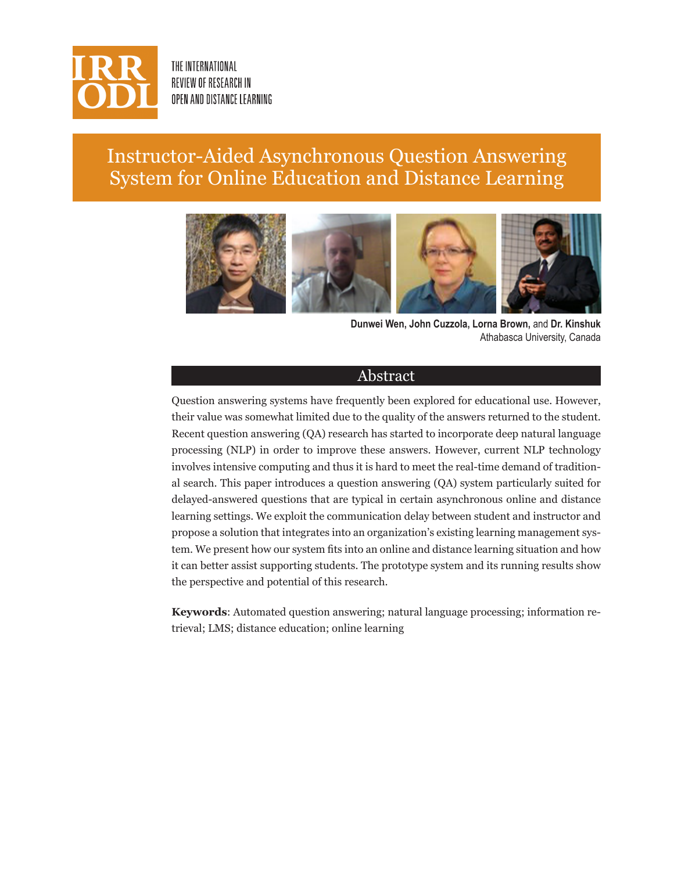

THE INTERNATIONAL REVIEW OF RESEARCH IN OPEN AND DISTANCE LEARNING

# Instructor-Aided Asynchronous Question Answering System for Online Education and Distance Learning



**Dunwei Wen, John Cuzzola, Lorna Brown,** and **Dr. Kinshuk** Athabasca University, Canada

## Abstract

Question answering systems have frequently been explored for educational use. However, their value was somewhat limited due to the quality of the answers returned to the student. Recent question answering (QA) research has started to incorporate deep natural language processing (NLP) in order to improve these answers. However, current NLP technology involves intensive computing and thus it is hard to meet the real-time demand of traditional search. This paper introduces a question answering (QA) system particularly suited for delayed-answered questions that are typical in certain asynchronous online and distance learning settings. We exploit the communication delay between student and instructor and propose a solution that integrates into an organization's existing learning management system. We present how our system fits into an online and distance learning situation and how it can better assist supporting students. The prototype system and its running results show the perspective and potential of this research.

**Keywords**: Automated question answering; natural language processing; information retrieval; LMS; distance education; online learning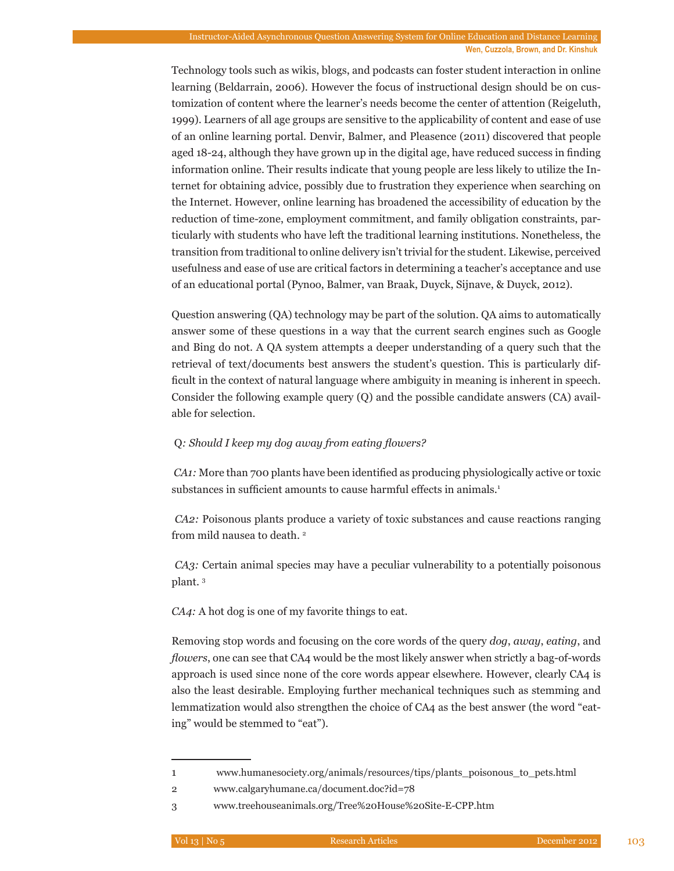Technology tools such as wikis, blogs, and podcasts can foster student interaction in online learning (Beldarrain, 2006). However the focus of instructional design should be on customization of content where the learner's needs become the center of attention (Reigeluth, 1999). Learners of all age groups are sensitive to the applicability of content and ease of use of an online learning portal. Denvir, Balmer, and Pleasence (2011) discovered that people aged 18-24, although they have grown up in the digital age, have reduced success in finding information online. Their results indicate that young people are less likely to utilize the Internet for obtaining advice, possibly due to frustration they experience when searching on the Internet. However, online learning has broadened the accessibility of education by the reduction of time-zone, employment commitment, and family obligation constraints, particularly with students who have left the traditional learning institutions. Nonetheless, the transition from traditional to online delivery isn't trivial for the student. Likewise, perceived usefulness and ease of use are critical factors in determining a teacher's acceptance and use of an educational portal (Pynoo, Balmer, van Braak, Duyck, Sijnave, & Duyck, 2012).

Question answering (QA) technology may be part of the solution. QA aims to automatically answer some of these questions in a way that the current search engines such as Google and Bing do not. A QA system attempts a deeper understanding of a query such that the retrieval of text/documents best answers the student's question. This is particularly difficult in the context of natural language where ambiguity in meaning is inherent in speech. Consider the following example query (Q) and the possible candidate answers (CA) available for selection.

#### Q*: Should I keep my dog away from eating flowers?*

*CA1:* More than 700 plants have been identified as producing physiologically active or toxic substances in sufficient amounts to cause harmful effects in animals.<sup>1</sup>

*CA2:* Poisonous plants produce a variety of toxic substances and cause reactions ranging from mild nausea to death. 2

*CA3:* Certain animal species may have a peculiar vulnerability to a potentially poisonous plant. 3

*CA4:* A hot dog is one of my favorite things to eat.

Removing stop words and focusing on the core words of the query *dog*, *away*, *eating*, and *flowers*, one can see that CA4 would be the most likely answer when strictly a bag-of-words approach is used since none of the core words appear elsewhere. However, clearly CA4 is also the least desirable. Employing further mechanical techniques such as stemming and lemmatization would also strengthen the choice of CA4 as the best answer (the word "eating" would be stemmed to "eat").

<sup>1</sup> www.humanesociety.org/animals/resources/tips/plants\_poisonous\_to\_pets.html

<sup>2</sup> www.calgaryhumane.ca/document.doc?id=78

<sup>3</sup> www.treehouseanimals.org/Tree%20House%20Site-E-CPP.htm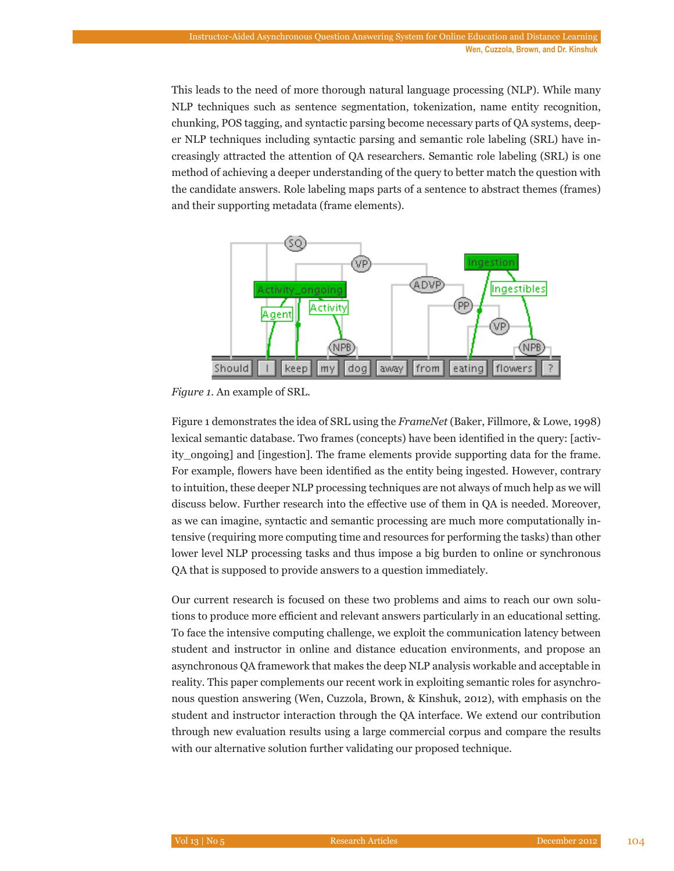This leads to the need of more thorough natural language processing (NLP). While many NLP techniques such as sentence segmentation, tokenization, name entity recognition, chunking, POS tagging, and syntactic parsing become necessary parts of QA systems, deeper NLP techniques including syntactic parsing and semantic role labeling (SRL) have increasingly attracted the attention of QA researchers. Semantic role labeling (SRL) is one method of achieving a deeper understanding of the query to better match the question with the candidate answers. Role labeling maps parts of a sentence to abstract themes (frames) and their supporting metadata (frame elements).



*Figure 1*. An example of SRL.

Figure 1 demonstrates the idea of SRL using the *FrameNet* (Baker, Fillmore, & Lowe, 1998) lexical semantic database. Two frames (concepts) have been identified in the query: [activity\_ongoing] and [ingestion]. The frame elements provide supporting data for the frame. For example, flowers have been identified as the entity being ingested. However, contrary to intuition, these deeper NLP processing techniques are not always of much help as we will discuss below. Further research into the effective use of them in QA is needed. Moreover, as we can imagine, syntactic and semantic processing are much more computationally intensive (requiring more computing time and resources for performing the tasks) than other lower level NLP processing tasks and thus impose a big burden to online or synchronous QA that is supposed to provide answers to a question immediately.

Our current research is focused on these two problems and aims to reach our own solutions to produce more efficient and relevant answers particularly in an educational setting. To face the intensive computing challenge, we exploit the communication latency between student and instructor in online and distance education environments, and propose an asynchronous QA framework that makes the deep NLP analysis workable and acceptable in reality. This paper complements our recent work in exploiting semantic roles for asynchronous question answering (Wen, Cuzzola, Brown, & Kinshuk, 2012), with emphasis on the student and instructor interaction through the QA interface. We extend our contribution through new evaluation results using a large commercial corpus and compare the results with our alternative solution further validating our proposed technique.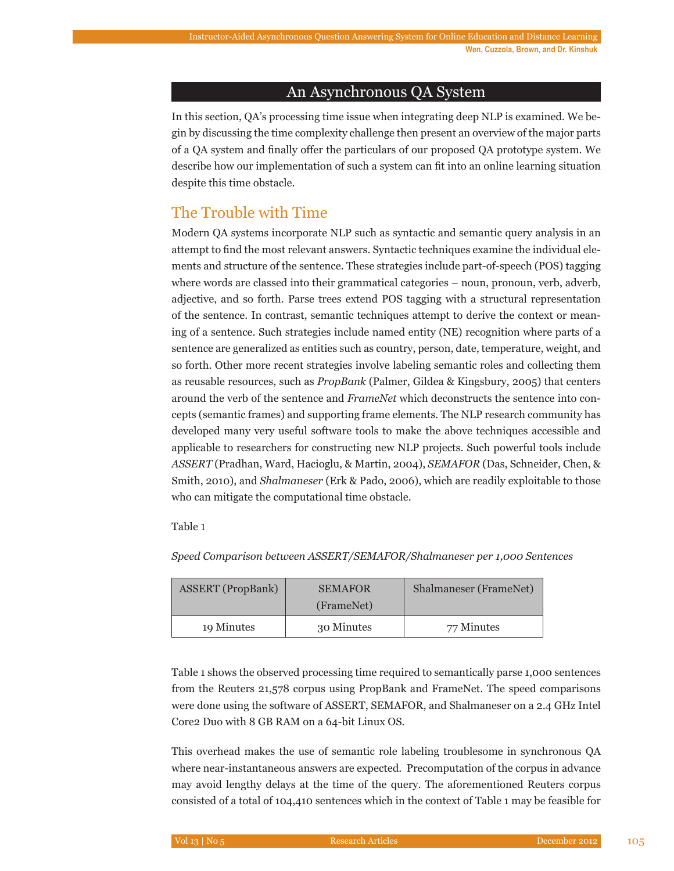## An Asynchronous QA System

In this section, QA's processing time issue when integrating deep NLP is examined. We begin by discussing the time complexity challenge then present an overview of the major parts of a QA system and finally offer the particulars of our proposed QA prototype system. We describe how our implementation of such a system can fit into an online learning situation despite this time obstacle.

## The Trouble with Time

Modern QA systems incorporate NLP such as syntactic and semantic query analysis in an attempt to find the most relevant answers. Syntactic techniques examine the individual elements and structure of the sentence. These strategies include part-of-speech (POS) tagging where words are classed into their grammatical categories – noun, pronoun, verb, adverb, adjective, and so forth. Parse trees extend POS tagging with a structural representation of the sentence. In contrast, semantic techniques attempt to derive the context or meaning of a sentence. Such strategies include named entity (NE) recognition where parts of a sentence are generalized as entities such as country, person, date, temperature, weight, and so forth. Other more recent strategies involve labeling semantic roles and collecting them as reusable resources, such as *PropBank* (Palmer, Gildea & Kingsbury, 2005) that centers around the verb of the sentence and *FrameNet* which deconstructs the sentence into concepts (semantic frames) and supporting frame elements. The NLP research community has developed many very useful software tools to make the above techniques accessible and applicable to researchers for constructing new NLP projects. Such powerful tools include *ASSERT* (Pradhan, Ward, Hacioglu, & Martin, 2004), *SEMAFOR* (Das, Schneider, Chen, & Smith, 2010), and *Shalmaneser* (Erk & Pado, 2006), which are readily exploitable to those who can mitigate the computational time obstacle.

Table 1

| <b>ASSERT</b> (PropBank) | <b>SEMAFOR</b><br>(FrameNet) | Shalmaneser (FrameNet) |
|--------------------------|------------------------------|------------------------|
| 19 Minutes               | 30 Minutes                   | 77 Minutes             |

*Speed Comparison between ASSERT/SEMAFOR/Shalmaneser per 1,000 Sentences*

Table 1 shows the observed processing time required to semantically parse 1,000 sentences from the Reuters 21,578 corpus using PropBank and FrameNet. The speed comparisons were done using the software of ASSERT, SEMAFOR, and Shalmaneser on a 2.4 GHz Intel Core2 Duo with 8 GB RAM on a 64-bit Linux OS.

This overhead makes the use of semantic role labeling troublesome in synchronous QA where near-instantaneous answers are expected. Precomputation of the corpus in advance may avoid lengthy delays at the time of the query. The aforementioned Reuters corpus consisted of a total of 104,410 sentences which in the context of Table 1 may be feasible for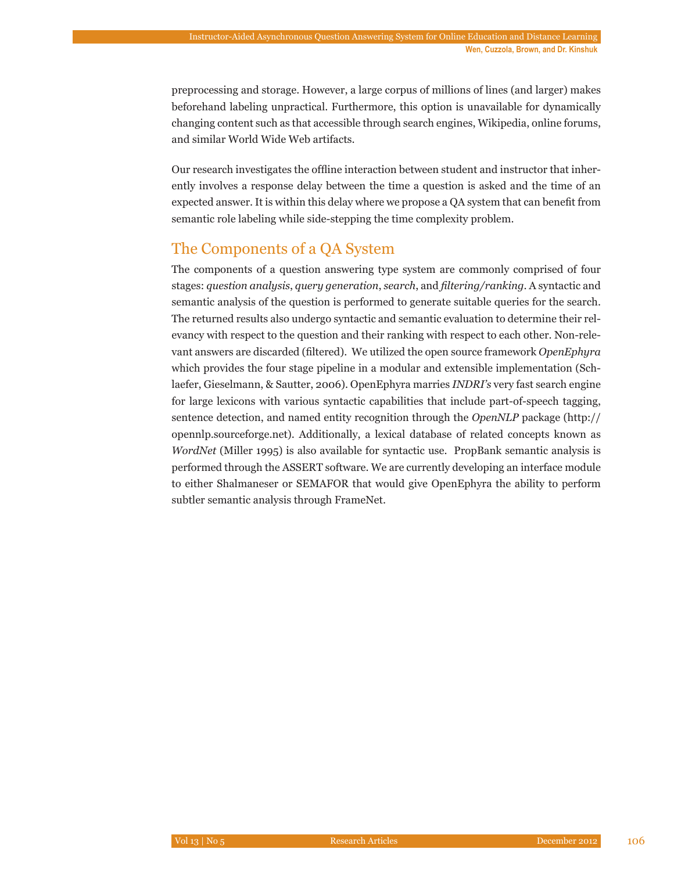preprocessing and storage. However, a large corpus of millions of lines (and larger) makes beforehand labeling unpractical. Furthermore, this option is unavailable for dynamically changing content such as that accessible through search engines, Wikipedia, online forums, and similar World Wide Web artifacts.

Our research investigates the offline interaction between student and instructor that inherently involves a response delay between the time a question is asked and the time of an expected answer. It is within this delay where we propose a QA system that can benefit from semantic role labeling while side-stepping the time complexity problem.

## The Components of a QA System

The components of a question answering type system are commonly comprised of four stages: *question analysis*, *query generation*, *search*, and *filtering/ranking*. A syntactic and semantic analysis of the question is performed to generate suitable queries for the search. The returned results also undergo syntactic and semantic evaluation to determine their relevancy with respect to the question and their ranking with respect to each other. Non-relevant answers are discarded (filtered). We utilized the open source framework *OpenEphyra* which provides the four stage pipeline in a modular and extensible implementation (Schlaefer, Gieselmann, & Sautter, 2006). OpenEphyra marries *INDRI's* very fast search engine for large lexicons with various syntactic capabilities that include part-of-speech tagging, sentence detection, and named entity recognition through the *OpenNLP* package (http:// opennlp.sourceforge.net). Additionally, a lexical database of related concepts known as *WordNet* (Miller 1995) is also available for syntactic use. PropBank semantic analysis is performed through the ASSERT software. We are currently developing an interface module to either Shalmaneser or SEMAFOR that would give OpenEphyra the ability to perform subtler semantic analysis through FrameNet.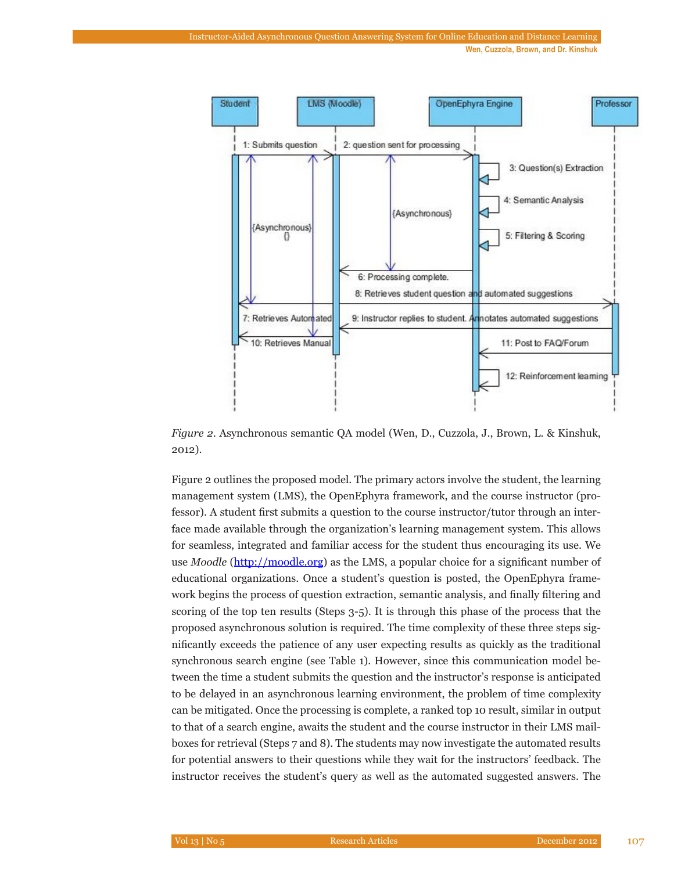

*Figure 2*. Asynchronous semantic QA model (Wen, D., Cuzzola, J., Brown, L. & Kinshuk, 2012).

Figure 2 outlines the proposed model. The primary actors involve the student, the learning management system (LMS), the OpenEphyra framework, and the course instructor (professor). A student first submits a question to the course instructor/tutor through an interface made available through the organization's learning management system. This allows for seamless, integrated and familiar access for the student thus encouraging its use. We use *Moodle* (http://moodle.org) as the LMS, a popular choice for a significant number of educational organizations. Once a student's question is posted, the OpenEphyra framework begins the process of question extraction, semantic analysis, and finally filtering and scoring of the top ten results (Steps 3-5). It is through this phase of the process that the proposed asynchronous solution is required. The time complexity of these three steps significantly exceeds the patience of any user expecting results as quickly as the traditional synchronous search engine (see Table 1). However, since this communication model between the time a student submits the question and the instructor's response is anticipated to be delayed in an asynchronous learning environment, the problem of time complexity can be mitigated. Once the processing is complete, a ranked top 10 result, similar in output to that of a search engine, awaits the student and the course instructor in their LMS mailboxes for retrieval (Steps 7 and 8). The students may now investigate the automated results for potential answers to their questions while they wait for the instructors' feedback. The instructor receives the student's query as well as the automated suggested answers. The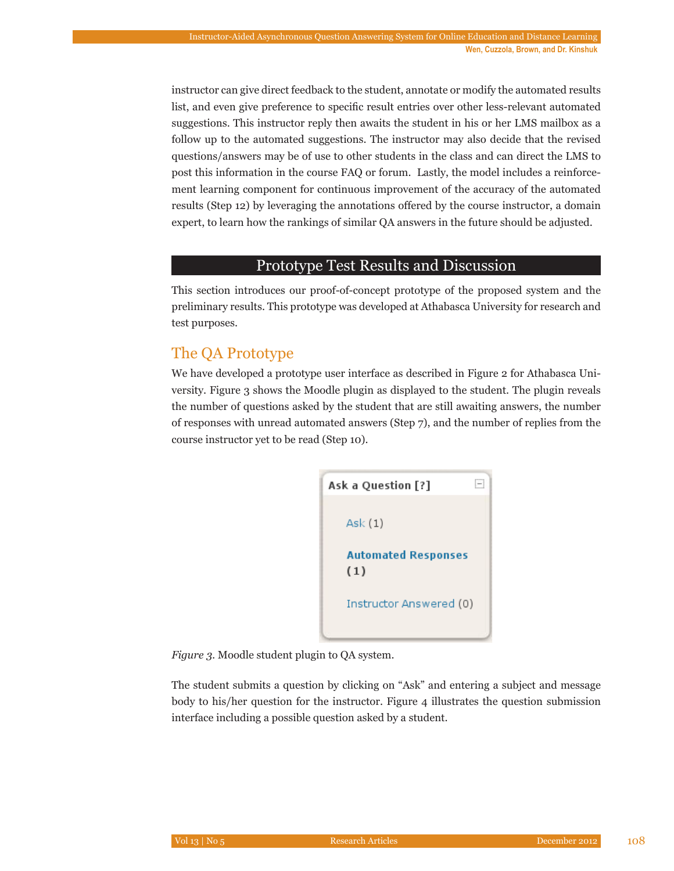instructor can give direct feedback to the student, annotate or modify the automated results list, and even give preference to specific result entries over other less-relevant automated suggestions. This instructor reply then awaits the student in his or her LMS mailbox as a follow up to the automated suggestions. The instructor may also decide that the revised questions/answers may be of use to other students in the class and can direct the LMS to post this information in the course FAQ or forum. Lastly, the model includes a reinforcement learning component for continuous improvement of the accuracy of the automated results (Step 12) by leveraging the annotations offered by the course instructor, a domain expert, to learn how the rankings of similar QA answers in the future should be adjusted.

## Prototype Test Results and Discussion

This section introduces our proof-of-concept prototype of the proposed system and the preliminary results. This prototype was developed at Athabasca University for research and test purposes.

## The QA Prototype

We have developed a prototype user interface as described in Figure 2 for Athabasca University. Figure 3 shows the Moodle plugin as displayed to the student. The plugin reveals the number of questions asked by the student that are still awaiting answers, the number of responses with unread automated answers (Step 7), and the number of replies from the course instructor yet to be read (Step 10).

| Ask a Question [?]                |  |
|-----------------------------------|--|
| Ask (1)                           |  |
| <b>Automated Responses</b><br>(1) |  |
| Instructor Answered (0)           |  |

*Figure 3.* Moodle student plugin to QA system.

The student submits a question by clicking on "Ask" and entering a subject and message body to his/her question for the instructor. Figure 4 illustrates the question submission interface including a possible question asked by a student.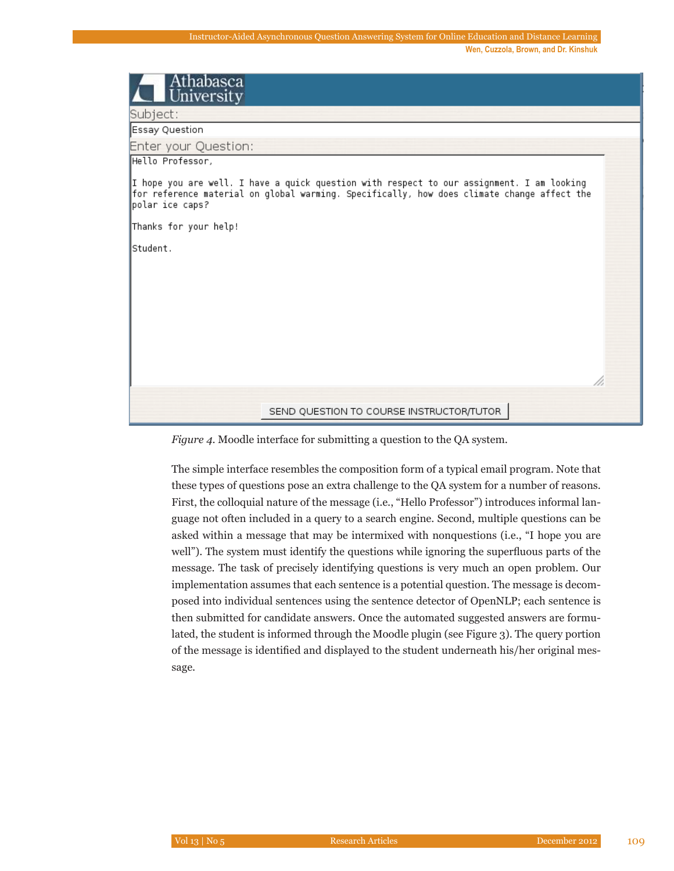**Wen, Cuzzola, Brown, and Dr. Kinshuk**

| Athabasca<br>University                                                                                                                                                                                    |
|------------------------------------------------------------------------------------------------------------------------------------------------------------------------------------------------------------|
| Subject:                                                                                                                                                                                                   |
| Essay Question                                                                                                                                                                                             |
| Enter your Question:                                                                                                                                                                                       |
| Hello Professor,                                                                                                                                                                                           |
| I hope you are well. I have a quick question with respect to our assignment. I am looking<br>for reference material on global warming. Specifically, how does climate change affect the<br>polar ice caps? |
| Thanks for your help!                                                                                                                                                                                      |
| lStudent.                                                                                                                                                                                                  |
|                                                                                                                                                                                                            |
|                                                                                                                                                                                                            |
|                                                                                                                                                                                                            |
|                                                                                                                                                                                                            |
|                                                                                                                                                                                                            |
|                                                                                                                                                                                                            |
|                                                                                                                                                                                                            |
|                                                                                                                                                                                                            |
| SEND QUESTION TO COURSE INSTRUCTOR/TUTOR                                                                                                                                                                   |

*Figure 4*. Moodle interface for submitting a question to the QA system.

The simple interface resembles the composition form of a typical email program. Note that these types of questions pose an extra challenge to the QA system for a number of reasons. First, the colloquial nature of the message (i.e., "Hello Professor") introduces informal language not often included in a query to a search engine. Second, multiple questions can be asked within a message that may be intermixed with nonquestions (i.e., "I hope you are well"). The system must identify the questions while ignoring the superfluous parts of the message. The task of precisely identifying questions is very much an open problem. Our implementation assumes that each sentence is a potential question. The message is decomposed into individual sentences using the sentence detector of OpenNLP; each sentence is then submitted for candidate answers. Once the automated suggested answers are formulated, the student is informed through the Moodle plugin (see Figure 3). The query portion of the message is identified and displayed to the student underneath his/her original message.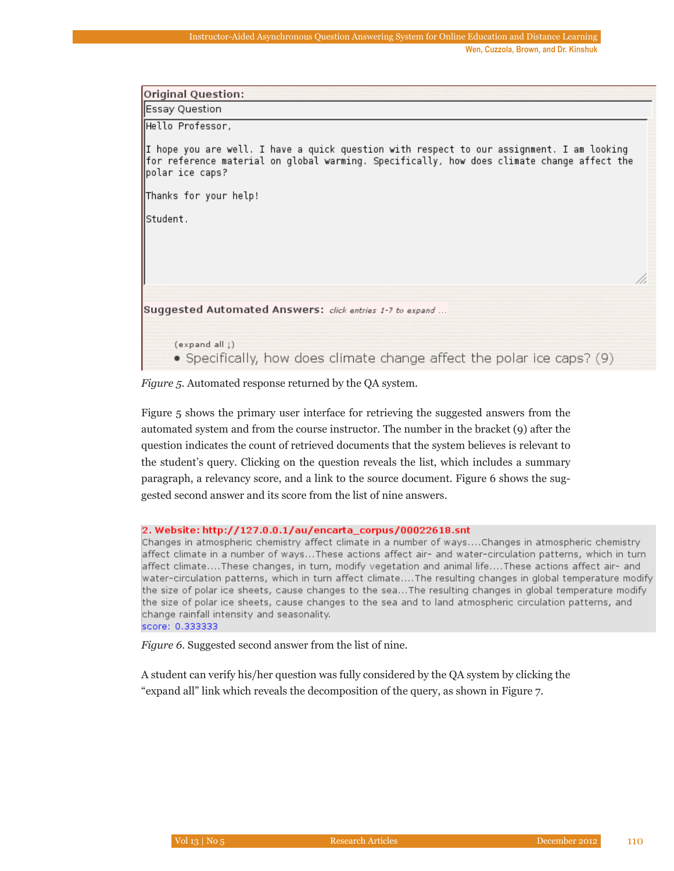**Wen, Cuzzola, Brown, and Dr. Kinshuk**

| Original Question:                                                                                                                                                                                                      |  |
|-------------------------------------------------------------------------------------------------------------------------------------------------------------------------------------------------------------------------|--|
| Essay Question                                                                                                                                                                                                          |  |
| Hello Professor,                                                                                                                                                                                                        |  |
| $\parallel$ I hope you are well. I have a quick question with respect to our assignment. I am looking<br>∥for reference material on global warming. Specifically, how does climate change affect the<br>polar ice caps? |  |
| Thanks for your help!                                                                                                                                                                                                   |  |
| Student.                                                                                                                                                                                                                |  |
|                                                                                                                                                                                                                         |  |
| Suggested Automated Answers: click entries 1-7 to expand                                                                                                                                                                |  |
| $(expand all \downarrow)$<br>• Specifically, how does climate change affect the polar ice caps? (9)                                                                                                                     |  |

*Figure 5*. Automated response returned by the QA system.

Figure 5 shows the primary user interface for retrieving the suggested answers from the automated system and from the course instructor. The number in the bracket (9) after the question indicates the count of retrieved documents that the system believes is relevant to the student's query. Clicking on the question reveals the list, which includes a summary paragraph, a relevancy score, and a link to the source document. Figure 6 shows the suggested second answer and its score from the list of nine answers.

#### 2. Website: http://127.0.0.1/au/encarta\_corpus/00022618.snt

Changes in atmospheric chemistry affect climate in a number of ways....Changes in atmospheric chemistry affect climate in a number of ways...These actions affect air- and water-circulation patterns, which in turn affect climate....These changes, in turn, modify vegetation and animal life....These actions affect air- and water-circulation patterns, which in turn affect climate....The resulting changes in global temperature modify the size of polar ice sheets, cause changes to the sea...The resulting changes in global temperature modify the size of polar ice sheets, cause changes to the sea and to land atmospheric circulation patterns, and change rainfall intensity and seasonality. score: 0.333333

*Figure 6*. Suggested second answer from the list of nine.

A student can verify his/her question was fully considered by the QA system by clicking the "expand all" link which reveals the decomposition of the query, as shown in Figure 7.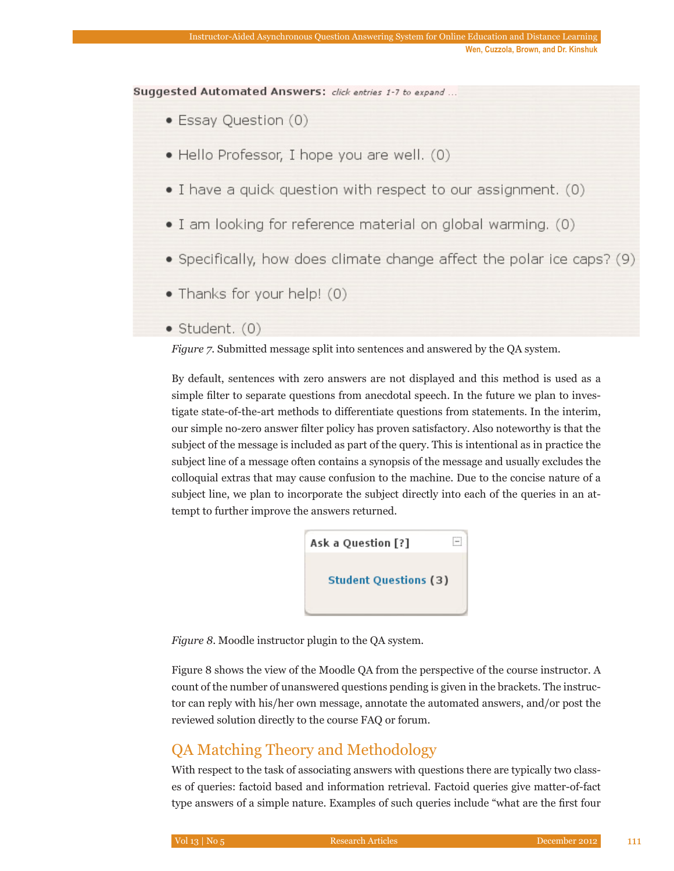#### Suggested Automated Answers: click entries 1-7 to expand ...

- Essay Question (0)
- Hello Professor, I hope you are well. (0)
- I have a quick question with respect to our assignment. (0)
- I am looking for reference material on global warming. (0)
- Specifically, how does climate change affect the polar ice caps? (9)
- Thanks for your help! (0)
- $\bullet$  Student. (0)

*Figure 7*. Submitted message split into sentences and answered by the QA system.

By default, sentences with zero answers are not displayed and this method is used as a simple filter to separate questions from anecdotal speech. In the future we plan to investigate state-of-the-art methods to differentiate questions from statements. In the interim, our simple no-zero answer filter policy has proven satisfactory. Also noteworthy is that the subject of the message is included as part of the query. This is intentional as in practice the subject line of a message often contains a synopsis of the message and usually excludes the colloquial extras that may cause confusion to the machine. Due to the concise nature of a subject line, we plan to incorporate the subject directly into each of the queries in an attempt to further improve the answers returned.



*Figure 8*. Moodle instructor plugin to the QA system.

Figure 8 shows the view of the Moodle QA from the perspective of the course instructor. A count of the number of unanswered questions pending is given in the brackets. The instructor can reply with his/her own message, annotate the automated answers, and/or post the reviewed solution directly to the course FAQ or forum.

## QA Matching Theory and Methodology

With respect to the task of associating answers with questions there are typically two classes of queries: factoid based and information retrieval. Factoid queries give matter-of-fact type answers of a simple nature. Examples of such queries include "what are the first four

| Vol 13   No 5 | ' Research Articles |
|---------------|---------------------|
|               |                     |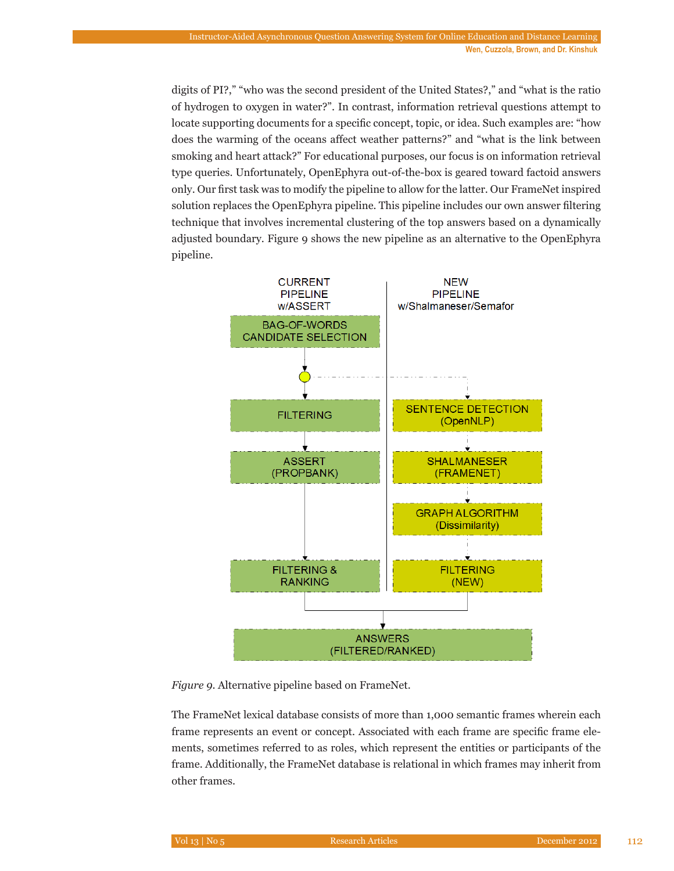digits of PI?," "who was the second president of the United States?," and "what is the ratio of hydrogen to oxygen in water?". In contrast, information retrieval questions attempt to locate supporting documents for a specific concept, topic, or idea. Such examples are: "how does the warming of the oceans affect weather patterns?" and "what is the link between smoking and heart attack?" For educational purposes, our focus is on information retrieval type queries. Unfortunately, OpenEphyra out-of-the-box is geared toward factoid answers only. Our first task was to modify the pipeline to allow for the latter. Our FrameNet inspired solution replaces the OpenEphyra pipeline. This pipeline includes our own answer filtering technique that involves incremental clustering of the top answers based on a dynamically adjusted boundary. Figure 9 shows the new pipeline as an alternative to the OpenEphyra pipeline.



*Figure 9*. Alternative pipeline based on FrameNet.

The FrameNet lexical database consists of more than 1,000 semantic frames wherein each frame represents an event or concept. Associated with each frame are specific frame elements, sometimes referred to as roles, which represent the entities or participants of the frame. Additionally, the FrameNet database is relational in which frames may inherit from other frames.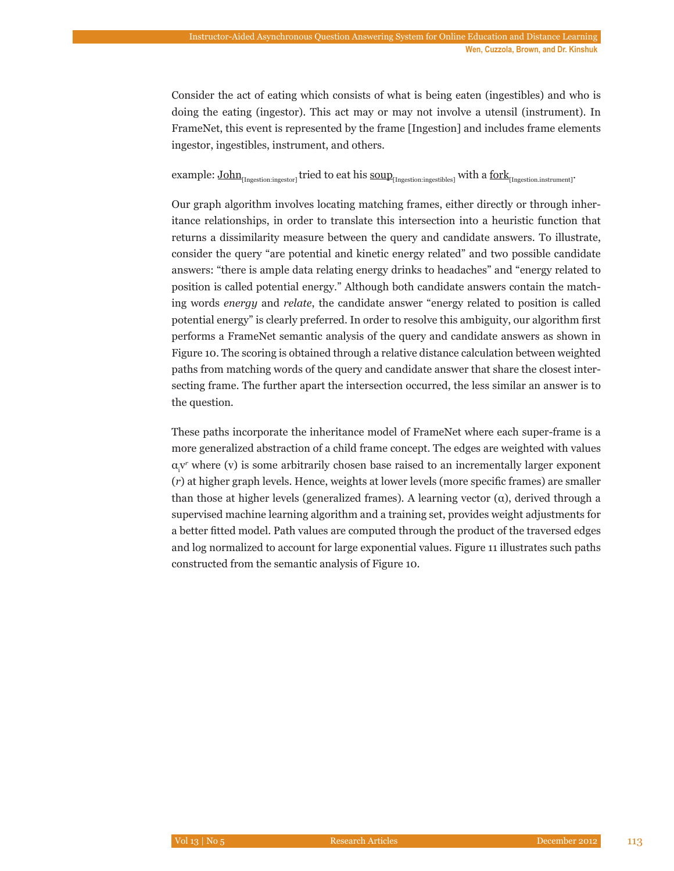Consider the act of eating which consists of what is being eaten (ingestibles) and who is doing the eating (ingestor). This act may or may not involve a utensil (instrument). In FrameNet, this event is represented by the frame [Ingestion] and includes frame elements ingestor, ingestibles, instrument, and others.

example:  $\underline{John}_{[Ingestion:ingestor]}$  tried to eat his  $\underline{ soup}_{[Ingestion:ingestible]}$  with a  $\underline{fork}_{[Ingestion:instruct]}$ .

Our graph algorithm involves locating matching frames, either directly or through inheritance relationships, in order to translate this intersection into a heuristic function that returns a dissimilarity measure between the query and candidate answers. To illustrate, consider the query "are potential and kinetic energy related" and two possible candidate answers: "there is ample data relating energy drinks to headaches" and "energy related to position is called potential energy." Although both candidate answers contain the matching words *energy* and *relate*, the candidate answer "energy related to position is called potential energy" is clearly preferred. In order to resolve this ambiguity, our algorithm first performs a FrameNet semantic analysis of the query and candidate answers as shown in Figure 10. The scoring is obtained through a relative distance calculation between weighted paths from matching words of the query and candidate answer that share the closest intersecting frame. The further apart the intersection occurred, the less similar an answer is to the question.

These paths incorporate the inheritance model of FrameNet where each super-frame is a more generalized abstraction of a child frame concept. The edges are weighted with values α<sub>i</sub>ν<sup>*r*</sup> where (v) is some arbitrarily chosen base raised to an incrementally larger exponent (*r*) at higher graph levels. Hence, weights at lower levels (more specific frames) are smaller than those at higher levels (generalized frames). A learning vector (α), derived through a supervised machine learning algorithm and a training set, provides weight adjustments for a better fitted model. Path values are computed through the product of the traversed edges and log normalized to account for large exponential values. Figure 11 illustrates such paths constructed from the semantic analysis of Figure 10.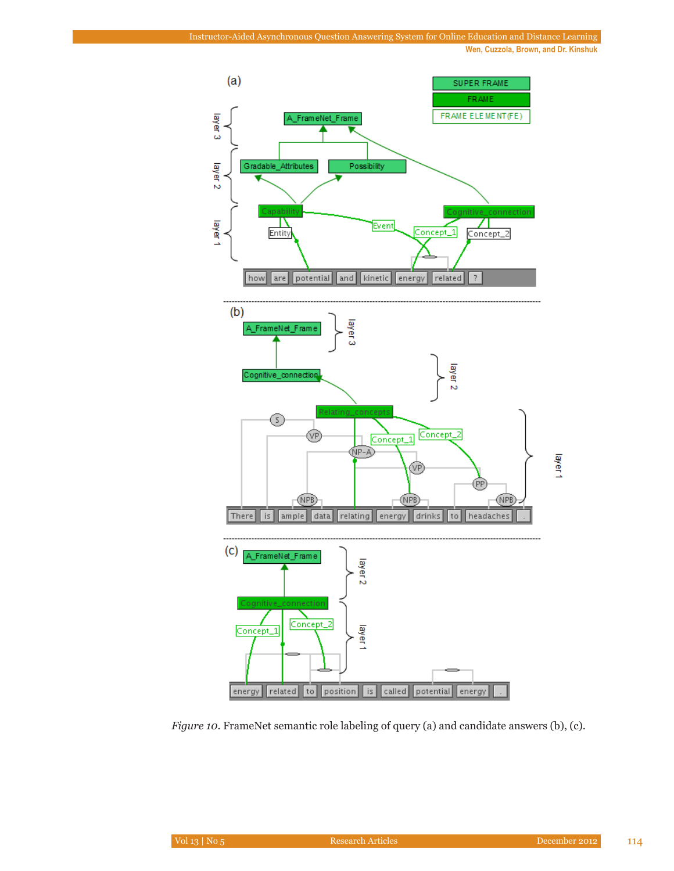**Wen, Cuzzola, Brown, and Dr. Kinshuk**



*Figure 10*. FrameNet semantic role labeling of query (a) and candidate answers (b), (c).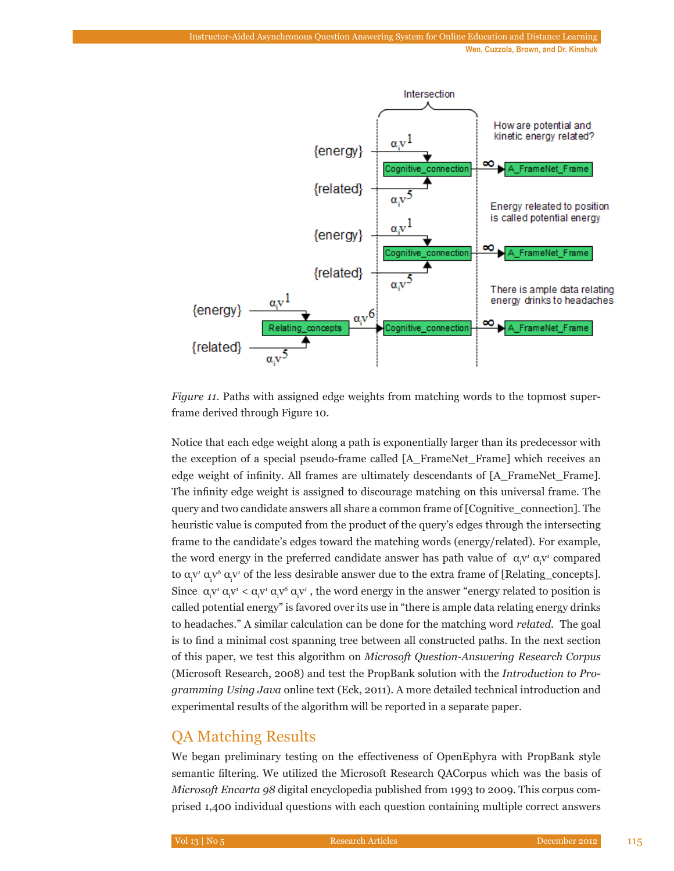**Wen, Cuzzola, Brown, and Dr. Kinshuk**



*Figure 11*. Paths with assigned edge weights from matching words to the topmost superframe derived through Figure 10.

Notice that each edge weight along a path is exponentially larger than its predecessor with the exception of a special pseudo-frame called [A\_FrameNet\_Frame] which receives an edge weight of infinity. All frames are ultimately descendants of [A\_FrameNet\_Frame]. The infinity edge weight is assigned to discourage matching on this universal frame. The query and two candidate answers all share a common frame of [Cognitive\_connection]. The heuristic value is computed from the product of the query's edges through the intersecting frame to the candidate's edges toward the matching words (energy/related). For example, the word energy in the preferred candidate answer has path value of α<sub>i</sub>ν<sup>*1*</sup> α<sub>i</sub>ν<sup>*1*</sup> compared to α<sub>i</sub>ν<sup>*1*</sup> α<sub>i</sub>ν<sup>6</sup> α<sub>i</sub>v<sup>*1*</sup> of the less desirable answer due to the extra frame of [Relating\_concepts]. Since  $\alpha_i v^1 \alpha_i v^1 \le \alpha_i v^1 \alpha_i v^6 \alpha_i v^1$ , the word energy in the answer "energy related to position is called potential energy" is favored over its use in "there is ample data relating energy drinks to headaches." A similar calculation can be done for the matching word *related*. The goal is to find a minimal cost spanning tree between all constructed paths. In the next section of this paper, we test this algorithm on *Microsoft Question-Answering Research Corpus* (Microsoft Research, 2008) and test the PropBank solution with the *Introduction to Programming Using Java* online text (Eck, 2011). A more detailed technical introduction and experimental results of the algorithm will be reported in a separate paper.

## QA Matching Results

We began preliminary testing on the effectiveness of OpenEphyra with PropBank style semantic filtering. We utilized the Microsoft Research QACorpus which was the basis of *Microsoft Encarta 98* digital encyclopedia published from 1993 to 2009. This corpus comprised 1,400 individual questions with each question containing multiple correct answers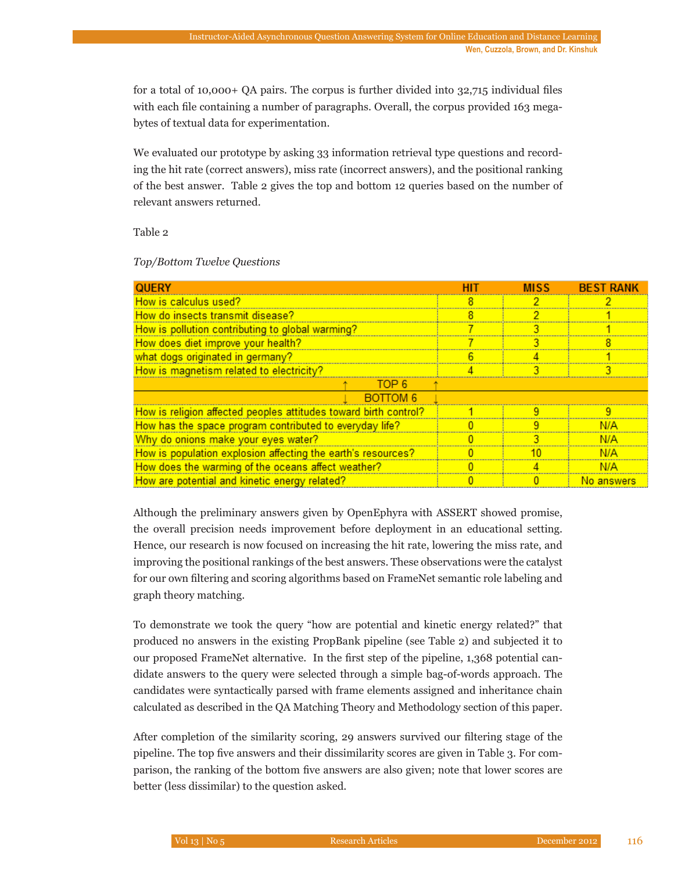for a total of 10,000+ QA pairs. The corpus is further divided into  $32,715$  individual files with each file containing a number of paragraphs. Overall, the corpus provided 163 megabytes of textual data for experimentation.

We evaluated our prototype by asking 33 information retrieval type questions and recording the hit rate (correct answers), miss rate (incorrect answers), and the positional ranking of the best answer. Table 2 gives the top and bottom 12 queries based on the number of relevant answers returned.

Table 2

*Top/Bottom Twelve Questions*

|                                                                  |  | <b>BEST RA</b> |
|------------------------------------------------------------------|--|----------------|
| How is calculus used?                                            |  |                |
| How do insects transmit disease?                                 |  |                |
| How is pollution contributing to global warming?                 |  |                |
| How does diet improve your health?                               |  |                |
| <mark>what dogs originated in germany?</mark>                    |  |                |
| How is magnetism related to electricity?                         |  |                |
|                                                                  |  |                |
|                                                                  |  |                |
| How is religion affected peoples attitudes toward birth control? |  |                |
| How has the space program contributed to everyday life?          |  |                |
| <u>/ do onions make vour eves water?</u>                         |  |                |
| v is population explosion affecting the earth's resources?       |  |                |
| How does the warming of the oceans affect weather?               |  |                |
| are potential and kinetic energy related?                        |  |                |

Although the preliminary answers given by OpenEphyra with ASSERT showed promise, the overall precision needs improvement before deployment in an educational setting. Hence, our research is now focused on increasing the hit rate, lowering the miss rate, and improving the positional rankings of the best answers. These observations were the catalyst for our own filtering and scoring algorithms based on FrameNet semantic role labeling and graph theory matching.

To demonstrate we took the query "how are potential and kinetic energy related?" that produced no answers in the existing PropBank pipeline (see Table 2) and subjected it to our proposed FrameNet alternative. In the first step of the pipeline, 1,368 potential candidate answers to the query were selected through a simple bag-of-words approach. The candidates were syntactically parsed with frame elements assigned and inheritance chain calculated as described in the QA Matching Theory and Methodology section of this paper.

After completion of the similarity scoring, 29 answers survived our filtering stage of the pipeline. The top five answers and their dissimilarity scores are given in Table 3. For comparison, the ranking of the bottom five answers are also given; note that lower scores are better (less dissimilar) to the question asked.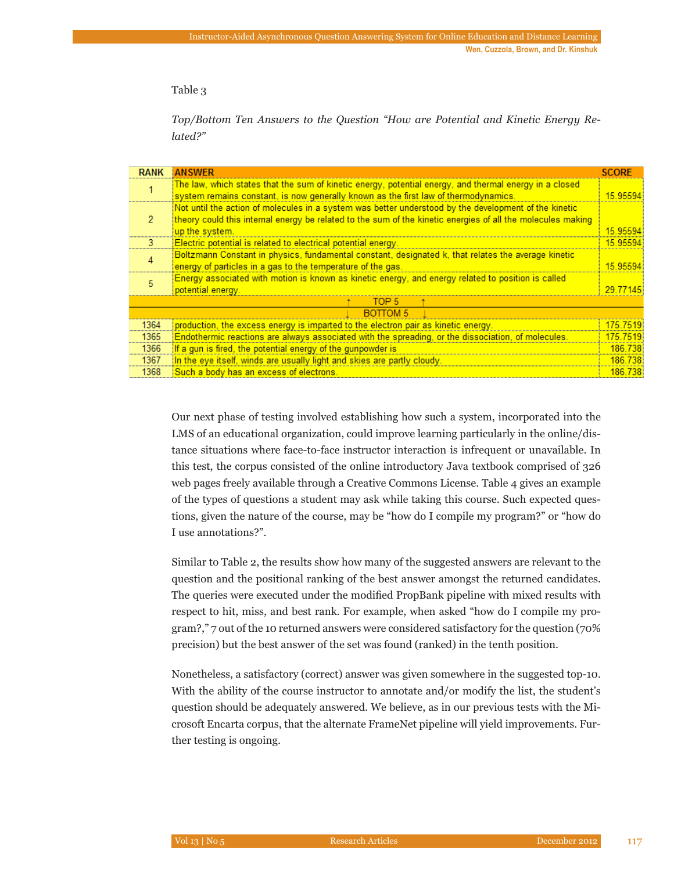#### Table 3

*Top/Bottom Ten Answers to the Question "How are Potential and Kinetic Energy Related?"*

| <b>RANK</b> | <b>ANSWER</b>                                                                                                                                                                                                                          |          |
|-------------|----------------------------------------------------------------------------------------------------------------------------------------------------------------------------------------------------------------------------------------|----------|
|             | The law, which states that the sum of kinetic energy, potential energy, and thermal energy in a closed<br>system remains constant, is now generally known as the first law of thermodynamics.                                          | 15 95594 |
|             | Not until the action of molecules in a system was better understood by the development of the kinetic<br>theory could this internal energy be related to the sum of the kinetic energies of all the molecules making<br>up the system. | 15.95594 |
| 3           | Electric potential is related to electrical potential energy.                                                                                                                                                                          | 15 95594 |
|             | Boltzmann Constant in physics, fundamental constant, designated k, that relates the average kinetic<br>energy of particles in a gas to the temperature of the gas.                                                                     | 15 95594 |
| 5           | Energy associated with motion is known as kinetic energy, and energy related to position is called<br>potential energy.                                                                                                                |          |
|             | TOP 5                                                                                                                                                                                                                                  |          |
|             |                                                                                                                                                                                                                                        |          |
| 1364        | production, the excess energy is imparted to the electron pair as kinetic energy.                                                                                                                                                      |          |
| 1365        | Endothermic reactions are always associated with the spreading, or the dissociation, of molecules                                                                                                                                      |          |
| 1366        | If a gun is fired, the potential energy of the gunpowder is                                                                                                                                                                            |          |
| 1367        | In the eye itself, winds are usually light and skies are partly cloudy.                                                                                                                                                                |          |
| 1368        | Such a body has an excess of electrons.                                                                                                                                                                                                |          |

Our next phase of testing involved establishing how such a system, incorporated into the LMS of an educational organization, could improve learning particularly in the online/distance situations where face-to-face instructor interaction is infrequent or unavailable. In this test, the corpus consisted of the online introductory Java textbook comprised of 326 web pages freely available through a Creative Commons License. Table 4 gives an example of the types of questions a student may ask while taking this course. Such expected questions, given the nature of the course, may be "how do I compile my program?" or "how do I use annotations?".

Similar to Table 2, the results show how many of the suggested answers are relevant to the question and the positional ranking of the best answer amongst the returned candidates. The queries were executed under the modified PropBank pipeline with mixed results with respect to hit, miss, and best rank. For example, when asked "how do I compile my program?," 7 out of the 10 returned answers were considered satisfactory for the question (70% precision) but the best answer of the set was found (ranked) in the tenth position.

Nonetheless, a satisfactory (correct) answer was given somewhere in the suggested top-10. With the ability of the course instructor to annotate and/or modify the list, the student's question should be adequately answered. We believe, as in our previous tests with the Microsoft Encarta corpus, that the alternate FrameNet pipeline will yield improvements. Further testing is ongoing.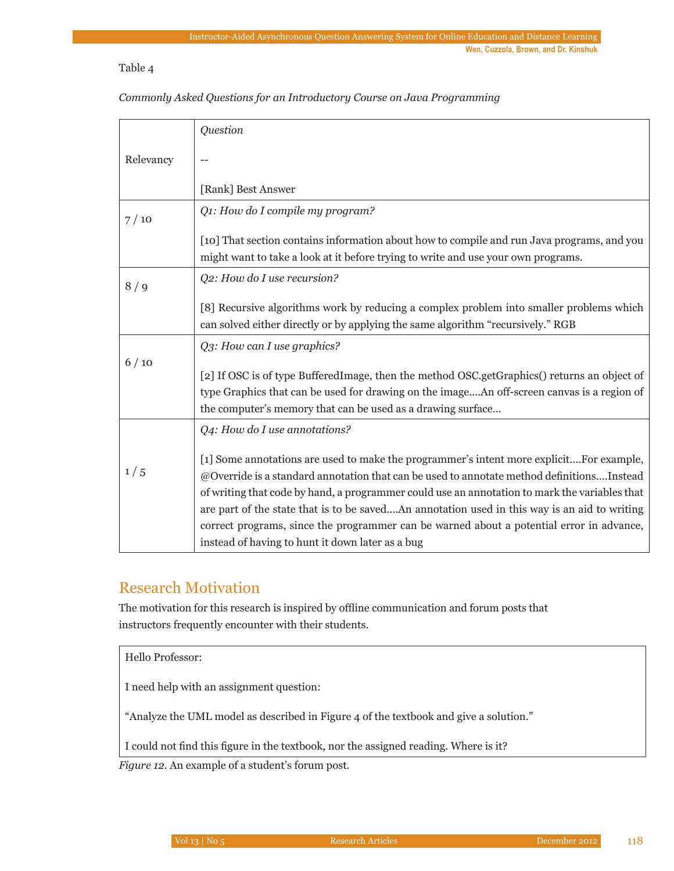#### Table 4

#### *Commonly Asked Questions for an Introductory Course on Java Programming*

|           | Question                                                                                                                                                                                                                                                                                                                                                                                                                                                                                                                              |
|-----------|---------------------------------------------------------------------------------------------------------------------------------------------------------------------------------------------------------------------------------------------------------------------------------------------------------------------------------------------------------------------------------------------------------------------------------------------------------------------------------------------------------------------------------------|
| Relevancy |                                                                                                                                                                                                                                                                                                                                                                                                                                                                                                                                       |
|           | [Rank] Best Answer                                                                                                                                                                                                                                                                                                                                                                                                                                                                                                                    |
| 7/10      | Q1: How do I compile my program?                                                                                                                                                                                                                                                                                                                                                                                                                                                                                                      |
|           | [10] That section contains information about how to compile and run Java programs, and you                                                                                                                                                                                                                                                                                                                                                                                                                                            |
|           | might want to take a look at it before trying to write and use your own programs.                                                                                                                                                                                                                                                                                                                                                                                                                                                     |
| 8/9       | Q2: How do I use recursion?                                                                                                                                                                                                                                                                                                                                                                                                                                                                                                           |
|           | [8] Recursive algorithms work by reducing a complex problem into smaller problems which<br>can solved either directly or by applying the same algorithm "recursively." RGB                                                                                                                                                                                                                                                                                                                                                            |
|           | Q3: How can I use graphics?                                                                                                                                                                                                                                                                                                                                                                                                                                                                                                           |
| 6/10      | [2] If OSC is of type BufferedImage, then the method OSC getGraphics() returns an object of<br>type Graphics that can be used for drawing on the imageAn off-screen canvas is a region of<br>the computer's memory that can be used as a drawing surface                                                                                                                                                                                                                                                                              |
|           | Q4: How do I use annotations?                                                                                                                                                                                                                                                                                                                                                                                                                                                                                                         |
| 1/5       | [1] Some annotations are used to make the programmer's intent more explicitFor example,<br>@Override is a standard annotation that can be used to annotate method definitionsInstead<br>of writing that code by hand, a programmer could use an annotation to mark the variables that<br>are part of the state that is to be savedAn annotation used in this way is an aid to writing<br>correct programs, since the programmer can be warned about a potential error in advance,<br>instead of having to hunt it down later as a bug |

## Research Motivation

The motivation for this research is inspired by offline communication and forum posts that instructors frequently encounter with their students.

Hello Professor:

I need help with an assignment question:

"Analyze the UML model as described in Figure 4 of the textbook and give a solution."

I could not find this figure in the textbook, nor the assigned reading. Where is it?

*Figure 12*. An example of a student's forum post.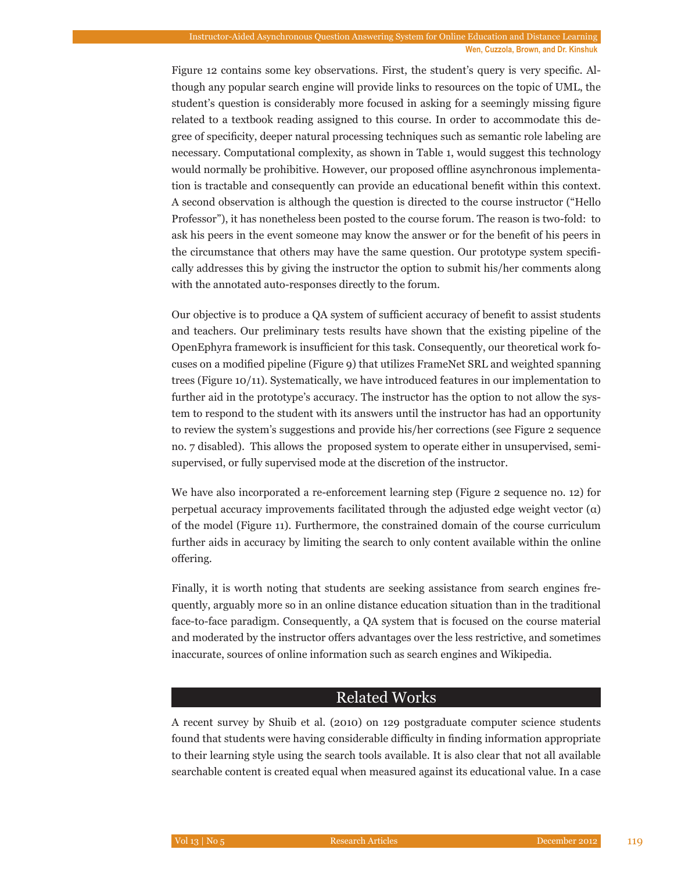Figure 12 contains some key observations. First, the student's query is very specific. Although any popular search engine will provide links to resources on the topic of UML, the student's question is considerably more focused in asking for a seemingly missing figure related to a textbook reading assigned to this course. In order to accommodate this degree of specificity, deeper natural processing techniques such as semantic role labeling are necessary. Computational complexity, as shown in Table 1, would suggest this technology would normally be prohibitive. However, our proposed offline asynchronous implementation is tractable and consequently can provide an educational benefit within this context. A second observation is although the question is directed to the course instructor ("Hello Professor"), it has nonetheless been posted to the course forum. The reason is two-fold: to ask his peers in the event someone may know the answer or for the benefit of his peers in the circumstance that others may have the same question. Our prototype system specifically addresses this by giving the instructor the option to submit his/her comments along with the annotated auto-responses directly to the forum.

Our objective is to produce a QA system of sufficient accuracy of benefit to assist students and teachers. Our preliminary tests results have shown that the existing pipeline of the OpenEphyra framework is insufficient for this task. Consequently, our theoretical work focuses on a modified pipeline (Figure 9) that utilizes FrameNet SRL and weighted spanning trees (Figure 10/11). Systematically, we have introduced features in our implementation to further aid in the prototype's accuracy. The instructor has the option to not allow the system to respond to the student with its answers until the instructor has had an opportunity to review the system's suggestions and provide his/her corrections (see Figure 2 sequence no. 7 disabled). This allows the proposed system to operate either in unsupervised, semisupervised, or fully supervised mode at the discretion of the instructor.

We have also incorporated a re-enforcement learning step (Figure 2 sequence no. 12) for perpetual accuracy improvements facilitated through the adjusted edge weight vector (α) of the model (Figure 11). Furthermore, the constrained domain of the course curriculum further aids in accuracy by limiting the search to only content available within the online offering.

Finally, it is worth noting that students are seeking assistance from search engines frequently, arguably more so in an online distance education situation than in the traditional face-to-face paradigm. Consequently, a QA system that is focused on the course material and moderated by the instructor offers advantages over the less restrictive, and sometimes inaccurate, sources of online information such as search engines and Wikipedia.

## Related Works

A recent survey by Shuib et al. (2010) on 129 postgraduate computer science students found that students were having considerable difficulty in finding information appropriate to their learning style using the search tools available. It is also clear that not all available searchable content is created equal when measured against its educational value. In a case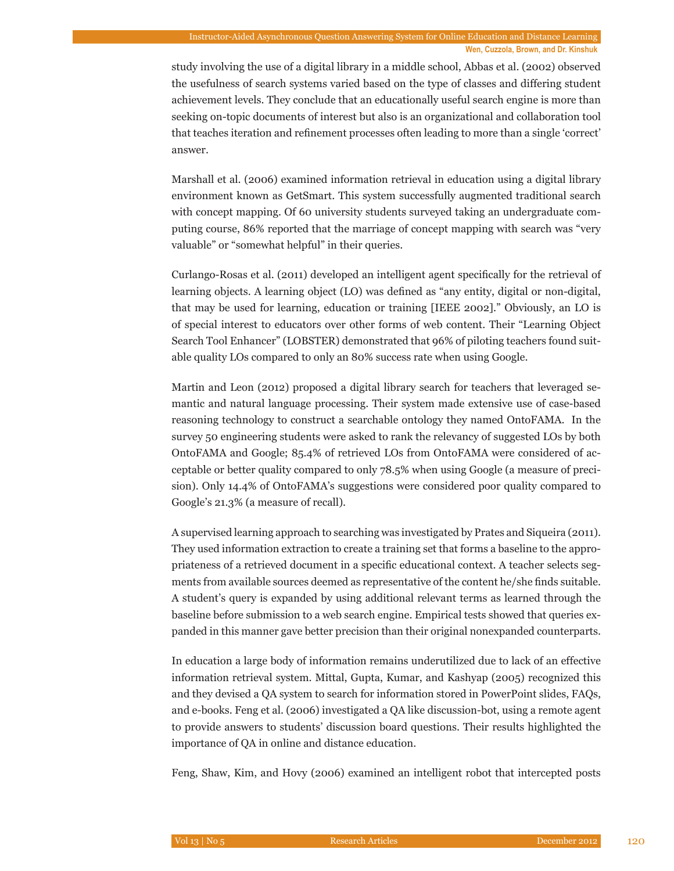study involving the use of a digital library in a middle school, Abbas et al. (2002) observed the usefulness of search systems varied based on the type of classes and differing student achievement levels. They conclude that an educationally useful search engine is more than seeking on-topic documents of interest but also is an organizational and collaboration tool that teaches iteration and refinement processes often leading to more than a single 'correct' answer.

Marshall et al. (2006) examined information retrieval in education using a digital library environment known as GetSmart. This system successfully augmented traditional search with concept mapping. Of 60 university students surveyed taking an undergraduate computing course, 86% reported that the marriage of concept mapping with search was "very valuable" or "somewhat helpful" in their queries.

Curlango-Rosas et al. (2011) developed an intelligent agent specifically for the retrieval of learning objects. A learning object (LO) was defined as "any entity, digital or non-digital, that may be used for learning, education or training [IEEE 2002]." Obviously, an LO is of special interest to educators over other forms of web content. Their "Learning Object Search Tool Enhancer" (LOBSTER) demonstrated that 96% of piloting teachers found suitable quality LOs compared to only an 80% success rate when using Google.

Martin and Leon (2012) proposed a digital library search for teachers that leveraged semantic and natural language processing. Their system made extensive use of case-based reasoning technology to construct a searchable ontology they named OntoFAMA. In the survey 50 engineering students were asked to rank the relevancy of suggested LOs by both OntoFAMA and Google; 85.4% of retrieved LOs from OntoFAMA were considered of acceptable or better quality compared to only 78.5% when using Google (a measure of precision). Only 14.4% of OntoFAMA's suggestions were considered poor quality compared to Google's 21.3% (a measure of recall).

A supervised learning approach to searching was investigated by Prates and Siqueira (2011). They used information extraction to create a training set that forms a baseline to the appropriateness of a retrieved document in a specific educational context. A teacher selects segments from available sources deemed as representative of the content he/she finds suitable. A student's query is expanded by using additional relevant terms as learned through the baseline before submission to a web search engine. Empirical tests showed that queries expanded in this manner gave better precision than their original nonexpanded counterparts.

In education a large body of information remains underutilized due to lack of an effective information retrieval system. Mittal, Gupta, Kumar, and Kashyap (2005) recognized this and they devised a QA system to search for information stored in PowerPoint slides, FAQs, and e-books. Feng et al. (2006) investigated a QA like discussion-bot, using a remote agent to provide answers to students' discussion board questions. Their results highlighted the importance of QA in online and distance education.

Feng, Shaw, Kim, and Hovy (2006) examined an intelligent robot that intercepted posts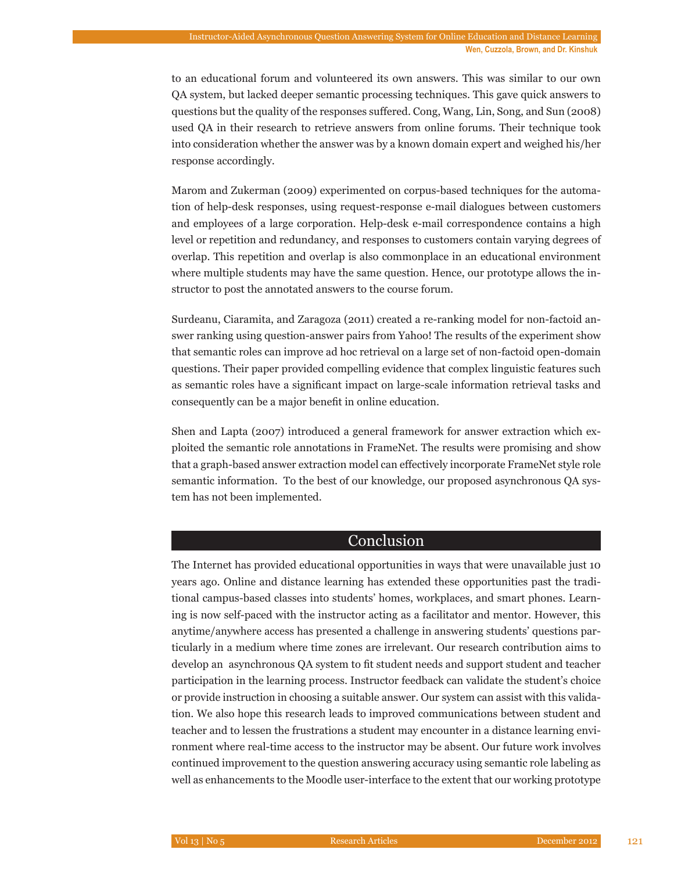to an educational forum and volunteered its own answers. This was similar to our own QA system, but lacked deeper semantic processing techniques. This gave quick answers to questions but the quality of the responses suffered. Cong, Wang, Lin, Song, and Sun (2008) used QA in their research to retrieve answers from online forums. Their technique took into consideration whether the answer was by a known domain expert and weighed his/her response accordingly.

Marom and Zukerman (2009) experimented on corpus-based techniques for the automation of help-desk responses, using request-response e-mail dialogues between customers and employees of a large corporation. Help-desk e-mail correspondence contains a high level or repetition and redundancy, and responses to customers contain varying degrees of overlap. This repetition and overlap is also commonplace in an educational environment where multiple students may have the same question. Hence, our prototype allows the instructor to post the annotated answers to the course forum.

Surdeanu, Ciaramita, and Zaragoza (2011) created a re-ranking model for non-factoid answer ranking using question-answer pairs from Yahoo! The results of the experiment show that semantic roles can improve ad hoc retrieval on a large set of non-factoid open-domain questions. Their paper provided compelling evidence that complex linguistic features such as semantic roles have a significant impact on large-scale information retrieval tasks and consequently can be a major benefit in online education.

Shen and Lapta (2007) introduced a general framework for answer extraction which exploited the semantic role annotations in FrameNet. The results were promising and show that a graph-based answer extraction model can effectively incorporate FrameNet style role semantic information. To the best of our knowledge, our proposed asynchronous QA system has not been implemented.

## Conclusion

The Internet has provided educational opportunities in ways that were unavailable just 10 years ago. Online and distance learning has extended these opportunities past the traditional campus-based classes into students' homes, workplaces, and smart phones. Learning is now self-paced with the instructor acting as a facilitator and mentor. However, this anytime/anywhere access has presented a challenge in answering students' questions particularly in a medium where time zones are irrelevant. Our research contribution aims to develop an asynchronous QA system to fit student needs and support student and teacher participation in the learning process. Instructor feedback can validate the student's choice or provide instruction in choosing a suitable answer. Our system can assist with this validation. We also hope this research leads to improved communications between student and teacher and to lessen the frustrations a student may encounter in a distance learning environment where real-time access to the instructor may be absent. Our future work involves continued improvement to the question answering accuracy using semantic role labeling as well as enhancements to the Moodle user-interface to the extent that our working prototype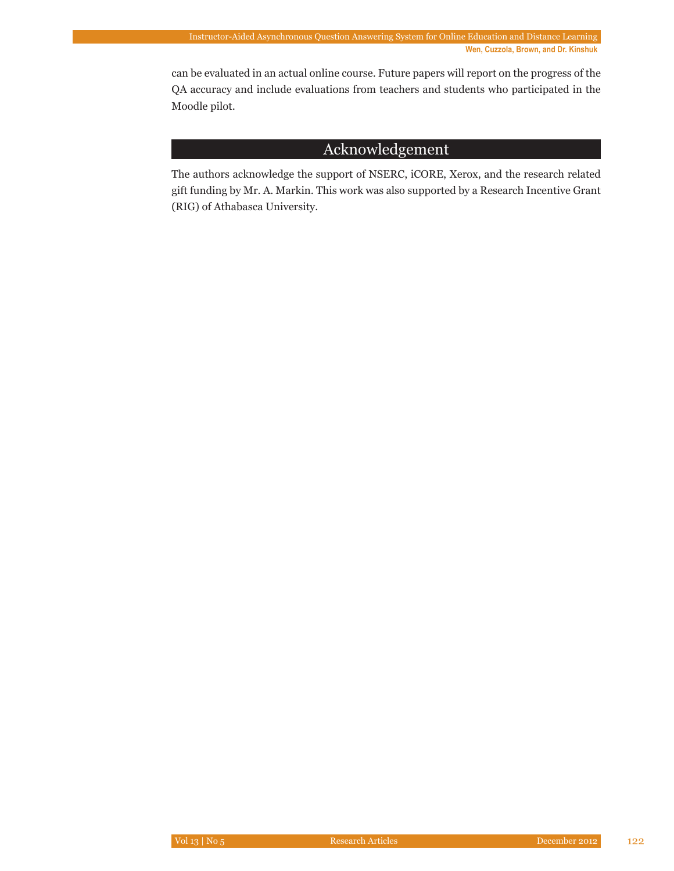can be evaluated in an actual online course. Future papers will report on the progress of the QA accuracy and include evaluations from teachers and students who participated in the Moodle pilot.

## Acknowledgement

The authors acknowledge the support of NSERC, iCORE, Xerox, and the research related gift funding by Mr. A. Markin. This work was also supported by a Research Incentive Grant (RIG) of Athabasca University.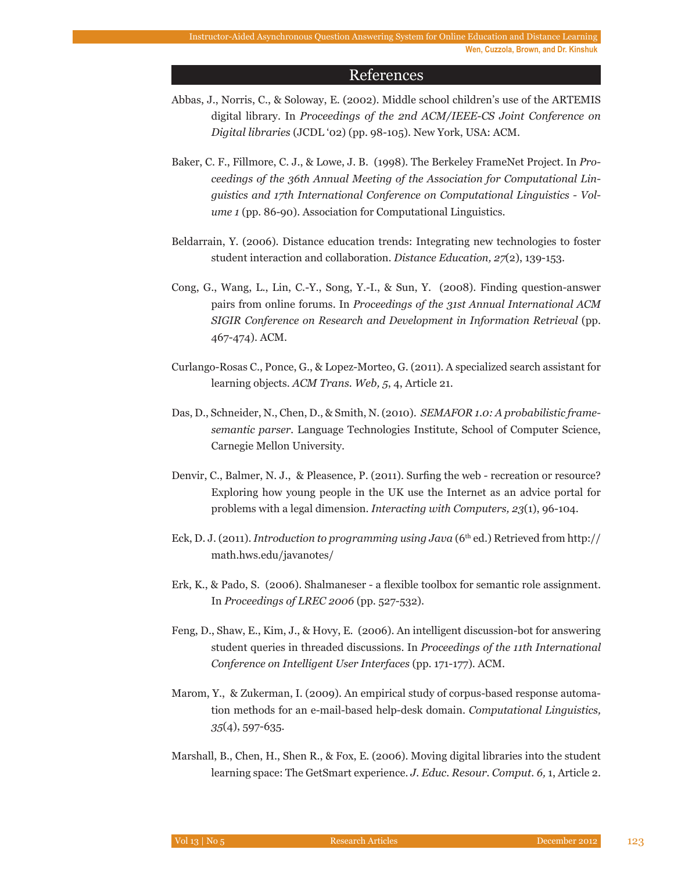## References

- Abbas, J., Norris, C., & Soloway, E. (2002). Middle school children's use of the ARTEMIS digital library. In *Proceedings of the 2nd ACM/IEEE-CS Joint Conference on Digital libraries* (JCDL '02) (pp. 98-105). New York, USA: ACM.
- Baker, C. F., Fillmore, C. J., & Lowe, J. B. (1998). The Berkeley FrameNet Project. In *Proceedings of the 36th Annual Meeting of the Association for Computational Linguistics and 17th International Conference on Computational Linguistics - Volume 1* (pp. 86-90). Association for Computational Linguistics.
- Beldarrain, Y. (2006). Distance education trends: Integrating new technologies to foster student interaction and collaboration. *Distance Education, 27*(2), 139-153.
- Cong, G., Wang, L., Lin, C.-Y., Song, Y.-I., & Sun, Y. (2008). Finding question-answer pairs from online forums. In *Proceedings of the 31st Annual International ACM SIGIR Conference on Research and Development in Information Retrieval* (pp. 467-474). ACM.
- Curlango-Rosas C., Ponce, G., & Lopez-Morteo, G. (2011). A specialized search assistant for learning objects. *ACM Trans. Web, 5*, 4, Article 21.
- Das, D., Schneider, N., Chen, D., & Smith, N. (2010). *SEMAFOR 1.0: A probabilistic framesemantic parser.* Language Technologies Institute, School of Computer Science, Carnegie Mellon University.
- Denvir, C., Balmer, N. J., & Pleasence, P. (2011). Surfing the web recreation or resource? Exploring how young people in the UK use the Internet as an advice portal for problems with a legal dimension. *Interacting with Computers, 23*(1), 96-104.
- Eck, D. J. (2011). *Introduction to programming using Java* (6th ed.) Retrieved from http:// math.hws.edu/javanotes/
- Erk, K., & Pado, S. (2006). Shalmaneser a flexible toolbox for semantic role assignment. In *Proceedings of LREC 2006* (pp. 527-532).
- Feng, D., Shaw, E., Kim, J., & Hovy, E. (2006). An intelligent discussion-bot for answering student queries in threaded discussions. In *Proceedings of the 11th International Conference on Intelligent User Interfaces* (pp. 171-177). ACM.
- Marom, Y., & Zukerman, I. (2009). An empirical study of corpus-based response automation methods for an e-mail-based help-desk domain. *Computational Linguistics, 35*(4), 597-635.
- Marshall, B., Chen, H., Shen R., & Fox, E. (2006). Moving digital libraries into the student learning space: The GetSmart experience. *J. Educ. Resour. Comput. 6,* 1, Article 2.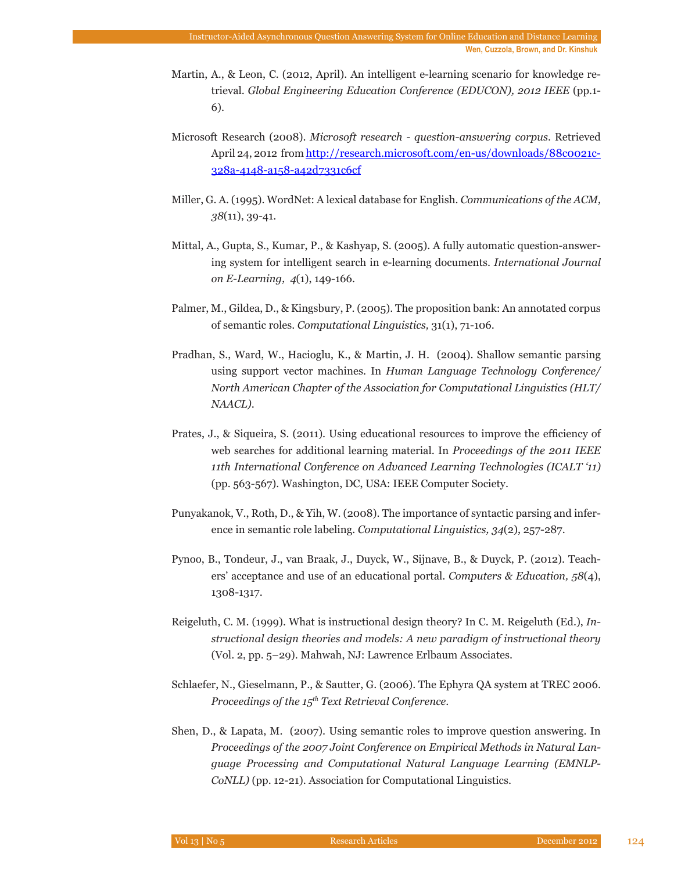- Martin, A., & Leon, C. (2012, April). An intelligent e-learning scenario for knowledge retrieval. *Global Engineering Education Conference (EDUCON), 2012 IEEE* (pp.1- 6).
- Microsoft Research (2008). *Microsoft research question-answering corpus*. Retrieved April 24, 2012 from http://research.microsoft.com/en-us/downloads/88c0021c-328a-4148-a158-a42d7331c6cf
- Miller, G. A. (1995). WordNet: A lexical database for English. *Communications of the ACM, 38*(11), 39-41.
- Mittal, A., Gupta, S., Kumar, P., & Kashyap, S. (2005). A fully automatic question-answering system for intelligent search in e-learning documents. *International Journal on E-Learning, 4*(1), 149-166.
- Palmer, M., Gildea, D., & Kingsbury, P. (2005). The proposition bank: An annotated corpus of semantic roles. *Computational Linguistics,* 31(1), 71-106.
- Pradhan, S., Ward, W., Hacioglu, K., & Martin, J. H. (2004). Shallow semantic parsing using support vector machines. In *Human Language Technology Conference/ North American Chapter of the Association for Computational Linguistics (HLT/ NAACL)*.
- Prates, J., & Siqueira, S. (2011). Using educational resources to improve the efficiency of web searches for additional learning material. In *Proceedings of the 2011 IEEE 11th International Conference on Advanced Learning Technologies (ICALT '11)*  (pp. 563-567). Washington, DC, USA: IEEE Computer Society.
- Punyakanok, V., Roth, D., & Yih, W. (2008). The importance of syntactic parsing and inference in semantic role labeling. *Computational Linguistics, 34*(2), 257-287.
- Pynoo, B., Tondeur, J., van Braak, J., Duyck, W., Sijnave, B., & Duyck, P. (2012). Teachers' acceptance and use of an educational portal. *Computers & Education, 58*(4), 1308-1317.
- Reigeluth, C. M. (1999). What is instructional design theory? In C. M. Reigeluth (Ed.), *Instructional design theories and models: A new paradigm of instructional theory*  (Vol. 2, pp. 5–29). Mahwah, NJ: Lawrence Erlbaum Associates.
- Schlaefer, N., Gieselmann, P., & Sautter, G. (2006). The Ephyra QA system at TREC 2006. *Proceedings of the 15th Text Retrieval Conference*.
- Shen, D., & Lapata, M. (2007). Using semantic roles to improve question answering. In *Proceedings of the 2007 Joint Conference on Empirical Methods in Natural Language Processing and Computational Natural Language Learning (EMNLP-CoNLL)* (pp. 12-21). Association for Computational Linguistics.